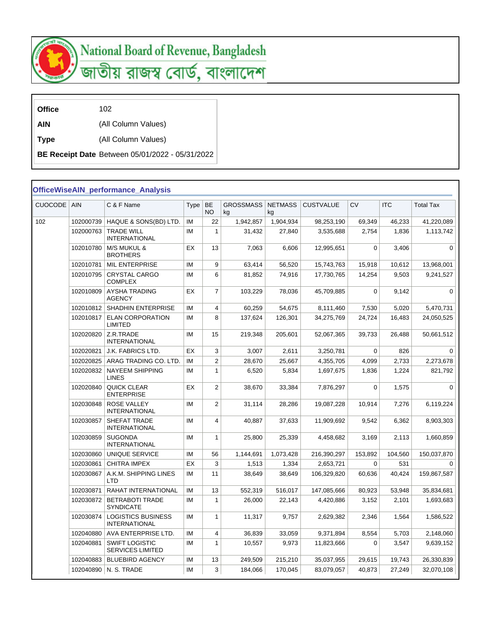

## National Board of Revenue, Bangladesh<br>জাতীয় রাজস্ব বোর্ড, বাংলাদেশ

**Office** 102

**AIN** (All Column Values)

**Type** (All Column Values)

**BE Receipt Date** Between 05/01/2022 - 05/31/2022

## **OfficeWiseAIN\_performance\_Analysis**

| <b>CUOCODE</b> | <b>AIN</b> | C & F Name                                        | Type | BE<br>NO.    | <b>GROSSMASS</b><br>ka | <b>NETMASS</b><br>kg | <b>CUSTVALUE</b> | <b>CV</b>   | <b>ITC</b> | <b>Total Tax</b> |  |
|----------------|------------|---------------------------------------------------|------|--------------|------------------------|----------------------|------------------|-------------|------------|------------------|--|
| 102            | 102000739  | HAQUE & SONS(BD) LTD.                             | IM   | 22           | 1,942,857              | 1,904,934            | 98,253,190       | 69,349      | 46,233     | 41,220,089       |  |
|                | 102000763  | <b>TRADE WILL</b><br><b>INTERNATIONAL</b>         | IM   | $\mathbf{1}$ | 31,432                 | 27,840               | 3,535,688        | 2,754       | 1,836      | 1,113,742        |  |
|                | 102010780  | <b>M/S MUKUL &amp;</b><br><b>BROTHERS</b>         | EX   | 13           | 7,063                  | 6,606                | 12,995,651       | $\mathbf 0$ | 3,406      | $\mathbf 0$      |  |
|                | 102010781  | <b>MIL ENTERPRISE</b>                             | IM   | 9            | 63,414                 | 56,520               | 15,743,763       | 15,918      | 10,612     | 13,968,001       |  |
|                | 102010795  | <b>CRYSTAL CARGO</b><br><b>COMPLEX</b>            | IM   | 6            | 81,852                 | 74,916               | 17,730,765       | 14,254      | 9,503      | 9,241,527        |  |
|                | 102010809  | AYSHA TRADING<br><b>AGENCY</b>                    | EX   | 7            | 103,229                | 78,036               | 45,709,885       | $\mathbf 0$ | 9,142      | $\mathbf 0$      |  |
|                | 102010812  | <b>SHADHIN ENTERPRISE</b>                         | IM   | 4            | 60,259                 | 54,675               | 8,111,460        | 7,530       | 5,020      | 5,470,731        |  |
|                | 102010817  | <b>ELAN CORPORATION</b><br><b>LIMITED</b>         | IM   | 8            | 137,624                | 126,301              | 34,275,769       | 24,724      | 16,483     | 24,050,525       |  |
|                | 102020820  | Z.R.TRADE<br><b>INTERNATIONAL</b>                 | IM   | 15           | 219,348                | 205,601              | 52,067,365       | 39,733      | 26,488     | 50,661,512       |  |
|                | 102020821  | <b>J.K. FABRICS LTD.</b>                          | EX   | 3            | 3,007                  | 2,611                | 3,250,781        | $\mathbf 0$ | 826        | $\mathbf 0$      |  |
|                | 102020825  | ARAG TRADING CO. LTD.                             | IM   | 2            | 28,670                 | 25,667               | 4,355,705        | 4,099       | 2,733      | 2,273,678        |  |
|                | 102020832  | <b>NAYEEM SHIPPING</b><br><b>LINES</b>            | IM   | $\mathbf{1}$ | 6,520                  | 5,834                | 1,697,675        | 1,836       | 1,224      | 821,792          |  |
|                | 102020840  | <b>QUICK CLEAR</b><br><b>ENTERPRISE</b>           | EX   | 2            | 38,670                 | 33,384               | 7,876,297        | $\mathbf 0$ | 1,575      | $\Omega$         |  |
|                | 102030848  | <b>ROSE VALLEY</b><br><b>INTERNATIONAL</b>        | IM   | 2            | 31,114                 | 28,286               | 19,087,228       | 10,914      | 7,276      | 6,119,224        |  |
|                | 102030857  | SHEFAT TRADE<br><b>INTERNATIONAL</b>              | IM   | 4            | 40,887                 | 37,633               | 11,909,692       | 9,542       | 6,362      | 8,903,303        |  |
|                | 102030859  | <b>SUGONDA</b><br><b>INTERNATIONAL</b>            | IM   | $\mathbf{1}$ | 25,800                 | 25,339               | 4,458,682        | 3,169       | 2,113      | 1,660,859        |  |
|                | 102030860  | UNIQUE SERVICE                                    | IM   | 56           | 1,144,691              | 1,073,428            | 216,390,297      | 153,892     | 104,560    | 150,037,870      |  |
|                | 102030861  | <b>CHITRA IMPEX</b>                               | EX   | 3            | 1,513                  | 1,334                | 2,653,721        | 0           | 531        | 0                |  |
|                | 102030867  | A.K.M. SHIPPING LINES<br><b>LTD</b>               | IM   | 11           | 38,649                 | 38,649               | 106,329,820      | 60,636      | 40,424     | 159,867,587      |  |
|                | 102030871  | RAHAT INTERNATIONAL                               | IM   | 13           | 552,319                | 516,017              | 147,085,666      | 80,923      | 53,948     | 35,834,681       |  |
|                | 102030872  | <b>BETRABOTI TRADE</b><br><b>SYNDICATE</b>        | IM   | $\mathbf{1}$ | 26,000                 | 22,143               | 4,420,886        | 3,152       | 2,101      | 1,693,683        |  |
|                | 102030874  | <b>LOGISTICS BUSINESS</b><br><b>INTERNATIONAL</b> | IM   | $\mathbf{1}$ | 11.317                 | 9.757                | 2.629.382        | 2,346       | 1,564      | 1,586,522        |  |
|                | 102040880  | AVA ENTERPRISE LTD.                               | IM   | 4            | 36,839                 | 33,059               | 9,371,894        | 8,554       | 5,703      | 2,148,060        |  |
|                | 102040881  | <b>SWIFT LOGISTIC</b><br><b>SERVICES LIMITED</b>  | IM   | $\mathbf{1}$ | 10,557                 | 9,973                | 11,823,666       | 0           | 3,547      | 9,639,152        |  |
|                | 102040883  | <b>BLUEBIRD AGENCY</b>                            | IM   | 13           | 249,509                | 215,210              | 35,037,955       | 29,615      | 19,743     | 26,330,839       |  |
|                |            | 102040890   N. S. TRADE                           | IM   | 3            | 184,066                | 170,045              | 83,079,057       | 40,873      | 27,249     | 32,070,108       |  |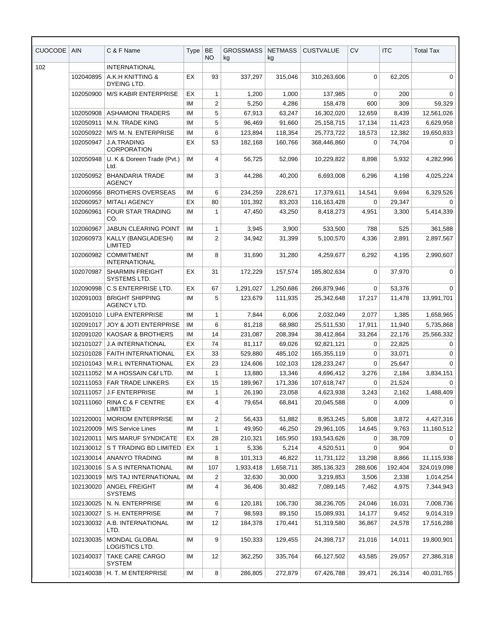| <b>CUOCODE</b> | <b>AIN</b> | C & F Name                                   | Type      | BE<br><b>NO</b> | GROSSMASS  <br>kg | <b>NETMASS</b><br>kg | <b>CUSTVALUE</b> | <b>CV</b>   | <b>ITC</b> | <b>Total Tax</b> |
|----------------|------------|----------------------------------------------|-----------|-----------------|-------------------|----------------------|------------------|-------------|------------|------------------|
| 102            |            | <b>INTERNATIONAL</b>                         |           |                 |                   |                      |                  |             |            |                  |
|                | 102040895  | A.K.H KNITTING &<br>DYEING LTD.              | EX        | 93              | 337,297           | 315,046              | 310,263,606      | $\mathbf 0$ | 62,205     | $\mathbf 0$      |
|                | 102050900  | <b>M/S KABIR ENTERPRISE</b>                  | EX        | 1               | 1,200             | 1,000                | 137,985          | 0           | 200        | $\Omega$         |
|                |            |                                              | IM        | 2               | 5,250             | 4,286                | 158,478          | 600         | 309        | 59,329           |
|                | 102050908  | <b>ASHAMONI TRADERS</b>                      | IM        | 5               | 67,913            | 63,247               | 16,302,020       | 12,659      | 8,439      | 12,561,026       |
|                | 102050911  | M.N. TRADE KING                              | IM        | 5               | 96,469            | 91,660               | 25,158,715       | 17,134      | 11,423     | 6,629,958        |
|                | 102050922  | M/S M. N. ENTERPRISE                         | ΙM        | 6               | 123,894           | 118,354              | 25,773,722       | 18,573      | 12,382     | 19,650,833       |
|                | 102050947  | J.A.TRADING<br><b>CORPORATION</b>            | EX        | 53              | 182,168           | 160.766              | 368,446,860      | 0           | 74,704     | $\Omega$         |
|                | 102050948  | U. K & Doreen Trade (Pvt.)<br>Ltd.           | <b>IM</b> | 4               | 56,725            | 52,096               | 10,229,822       | 8,898       | 5,932      | 4,282,996        |
|                | 102050952  | <b>BHANDARIA TRADE</b><br><b>AGENCY</b>      | IM        | 3               | 44,286            | 40,200               | 6,693,008        | 6,296       | 4,198      | 4,025,224        |
|                | 102060956  | <b>BROTHERS OVERSEAS</b>                     | ΙM        | 6               | 234,259           | 228,671              | 17,379,611       | 14,541      | 9,694      | 6,329,526        |
|                | 102060957  | <b>MITALI AGENCY</b>                         | EX        | 80              | 101,392           | 83,203               | 116,163,428      | 0           | 29,347     | $\Omega$         |
|                | 102060961  | <b>FOUR STAR TRADING</b><br>CO.              | IM        | 1               | 47,450            | 43,250               | 8,418,273        | 4,951       | 3,300      | 5,414,339        |
|                | 102060967  | <b>JABUN CLEARING POINT</b>                  | ΙM        | 1               | 3,945             | 3,900                | 533,500          | 788         | 525        | 361,588          |
|                | 102060973  | KALLY (BANGLADESH)<br>LIMITED                | IM        | 2               | 34,942            | 31,399               | 5,100,570        | 4,336       | 2,891      | 2,897,567        |
|                | 102060982  | <b>COMMITMENT</b><br><b>INTERNATIONAL</b>    | IM        | 8               | 31,690            | 31,280               | 4,259,677        | 6,292       | 4,195      | 2,990,607        |
|                | 102070987  | <b>SHARMIN FREIGHT</b><br>SYSTEMS LTD.       | EX        | 31              | 172,229           | 157,574              | 185,802,634      | 0           | 37,970     | 0                |
|                | 102090998  | C.S ENTERPRISE LTD.                          | EX        | 67              | 1,291,027         | 1,250,686            | 266,879,946      | 0           | 53,376     | 0                |
|                | 102091003  | <b>BRIGHT SHIPPING</b><br><b>AGENCY LTD.</b> | IM        | 5               | 123,679           | 111,935              | 25,342,648       | 17,217      | 11,478     | 13,991,701       |
|                | 102091010  | <b>LUPA ENTERPRISE</b>                       | ΙM        | 1               | 7,844             | 6,006                | 2,032,049        | 2,077       | 1,385      | 1,658,965        |
|                | 102091017  | JOY & JOTI ENTERPRISE                        | ΙM        | 6               | 81,218            | 68,980               | 25,511,530       | 17,911      | 11,940     | 5,735,868        |
|                | 102091020  | <b>KAOSAR &amp; BROTHERS</b>                 | ΙM        | 14              | 231.087           | 208,394              | 38,412,864       | 33,264      | 22,176     | 25,566,332       |
|                | 102101027  | <b>J.A INTERNATIONAL</b>                     | EX        | 74              | 81,117            | 69,026               | 92,821,121       | 0           | 22,825     | 0                |
|                | 102101028  | <b>FAITH INTERNATIONAL</b>                   | EX        | 33              | 529,880           | 485,102              | 165,355,119      | 0           | 33,071     | 0                |
|                | 102101043  | <b>M.R.L INTERNATIONAL</b>                   | EX        | 23              | 124,606           | 102,103              | 128,233,247      | $\mathbf 0$ | 25,647     | 0                |
|                |            | 102111052   M A HOSSAIN C&f LTD.             | IM        | 1               | 13,880            | 13,346               | 4,696,412        | 3,276       | 2,184      | 3,834,151        |
|                |            | 102111053 FAR TRADE LINKERS                  | EX        | 15              | 189,967           | 171,336              | 107,618,747      | 0           | 21,524     | 0                |
|                | 102111057  | <b>J.F ENTERPRISE</b>                        | IM        | 1               | 26,190            | 23,058               | 4,623,938        | 3,243       | 2,162      | 1,488,409        |
|                | 102111060  | RINA C & F CENTRE<br><b>LIMITED</b>          | EX        | 4               | 79,654            | 68,841               | 20,045,588       | 0           | 4,009      | $\Omega$         |
|                | 102120001  | <b>MORIOM ENTERPRISE</b>                     | ΙM        | 2               | 56,433            | 51,882               | 8,953,245        | 5,808       | 3,872      | 4,427,316        |
|                | 102120009  | M/S Service Lines                            | IM        | 1               | 49,950            | 46,250               | 29,961,105       | 14,645      | 9,763      | 11,160,512       |
|                | 102120011  | <b>M/S MARUF SYNDICATE</b>                   | EX        | 28              | 210,321           | 165,950              | 193,543,626      | 0           | 38,709     | 0                |
|                | 102130012  | S T TRADING BD LIMITED                       | EX        | $\mathbf{1}$    | 5,336             | 5,214                | 4,520,511        | 0           | 904        | $\Omega$         |
|                | 102130014  | ANANYO TRADING                               | IM        | 8               | 101,313           | 46,822               | 11,731,122       | 13,298      | 8,866      | 11,115,938       |
|                | 102130016  | S A S INTERNATIONAL                          | IM        | 107             | 1,933,418         | 1,658,711            | 385,136,323      | 288,606     | 192,404    | 324,019,098      |
|                | 102130019  | <b>M/S TAJ INTERNATIONAL</b>                 | ΙM        | 2               | 32,630            | 30,000               | 3,219,853        | 3,506       | 2,338      | 1,014,254        |
|                | 102130020  | ANGEL FREIGHT<br><b>SYSTEMS</b>              | IM        | 4               | 36,406            | 30,482               | 7,089,145        | 7,462       | 4,975      | 7,344,943        |
|                | 102130025  | N. N. ENTERPRISE                             | ΙM        | 6               | 120,181           | 106,730              | 38,236,705       | 24,046      | 16,031     | 7,008,736        |
|                | 102130027  | S. H. ENTERPRISE                             | IM        | 7               | 98,593            | 89,150               | 15,089,931       | 14,177      | 9,452      | 9,014,319        |
|                | 102130032  | A.B. INTERNATIONAL<br>LTD.                   | ΙM        | 12              | 184,378           | 170,441              | 51,319,580       | 36,867      | 24,578     | 17,516,288       |
|                | 102130035  | MONDAL GLOBAL<br>LOGISTICS LTD.              | IM        | 9               | 150,333           | 129,455              | 24,398,717       | 21,016      | 14,011     | 19,800,901       |
|                | 102140037  | TAKE CARE CARGO<br>SYSTEM                    | IM        | 12              | 362,250           | 335,764              | 66,127,502       | 43,585      | 29,057     | 27,386,318       |
|                | 102140038  | H. T. M ENTERPRISE                           | ΙM        | 8               | 286,805           | 272,879              | 67,426,788       | 39,471      | 26,314     | 40,031,765       |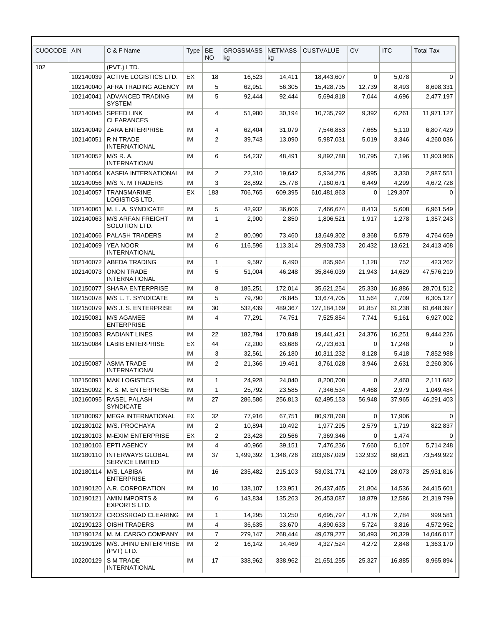| <b>CUOCODE</b> | <b>AIN</b>             | C & F Name                                                 | Type     | BE<br><b>NO</b> | <b>GROSSMASS</b><br>kg | <b>NETMASS</b><br>kg | <b>CUSTVALUE</b>         | <b>CV</b>        | <b>ITC</b>      | <b>Total Tax</b>        |
|----------------|------------------------|------------------------------------------------------------|----------|-----------------|------------------------|----------------------|--------------------------|------------------|-----------------|-------------------------|
| 102            |                        | (PVT.) LTD.                                                |          |                 |                        |                      |                          |                  |                 |                         |
|                | 102140039              | <b>ACTIVE LOGISTICS LTD.</b>                               | EX       | 18              | 16,523                 | 14,411               | 18,443,607               | 0                | 5,078           | 0                       |
|                | 102140040              | AFRA TRADING AGENCY                                        | ΙM       | 5               | 62,951                 | 56,305               | 15,428,735               | 12,739           | 8,493           | 8,698,331               |
|                | 102140041              | <b>ADVANCED TRADING</b><br><b>SYSTEM</b>                   | IM       | 5               | 92,444                 | 92,444               | 5,694,818                | 7,044            | 4,696           | 2,477,197               |
|                | 102140045              | <b>SPEED LINK</b><br><b>CLEARANCES</b>                     | IM       | 4               | 51,980                 | 30,194               | 10,735,792               | 9,392            | 6,261           | 11,971,127              |
|                | 102140049              | <b>ZARA ENTERPRISE</b>                                     | IM       | 4               | 62,404                 | 31,079               | 7,546,853                | 7,665            | 5,110           | 6,807,429               |
|                | 102140051              | R N TRADE<br><b>INTERNATIONAL</b>                          | ΙM       | 2               | 39,743                 | 13,090               | 5.987.031                | 5,019            | 3,346           | 4,260,036               |
|                | 102140052              | M/S R. A.<br><b>INTERNATIONAL</b>                          | ΙM       | 6               | 54,237                 | 48,491               | 9,892,788                | 10,795           | 7,196           | 11,903,966              |
|                | 102140054              | KASFIA INTERNATIONAL                                       | ΙM       | 2               | 22,310                 | 19,642               | 5,934,276                | 4,995            | 3,330           | 2,987,551               |
|                | 102140056              | <b>M/S N. M TRADERS</b>                                    | ΙM       | 3               | 28,892                 | 25,778               | 7,160,671                | 6,449            | 4,299           | 4,672,728               |
|                | 102140057              | TRANSMARINE<br><b>LOGISTICS LTD.</b>                       | EX       | 183             | 706,765                | 609,395              | 610,481,863              | 0                | 129,307         | $\Omega$                |
|                | 102140061              | M. L. A. SYNDICATE                                         | IM       | 5               | 42,932                 | 36,606               | 7,466,674                | 8,413            | 5,608           | 6,961,549               |
|                | 102140063              | <b>M/S ARFAN FREIGHT</b><br>SOLUTION LTD.                  | IM       | 1               | 2,900                  | 2,850                | 1,806,521                | 1,917            | 1,278           | 1,357,243               |
|                | 102140066              | <b>PALASH TRADERS</b>                                      | ΙM       | 2               | 80,090                 | 73,460               | 13,649,302               | 8,368            | 5,579           | 4,764,659               |
|                | 102140069              | <b>YEA NOOR</b><br><b>INTERNATIONAL</b>                    | IM       | 6               | 116,596                | 113,314              | 29,903,733               | 20,432           | 13,621          | 24,413,408              |
|                | 102140072              | <b>ABEDA TRADING</b>                                       | IM       | 1               | 9,597                  | 6,490                | 835,964                  | 1,128            | 752             | 423,262                 |
|                | 102140073              | <b>ONON TRADE</b><br><b>INTERNATIONAL</b>                  | ΙM       | 5               | 51,004                 | 46,248               | 35,846,039               | 21,943           | 14,629          | 47,576,219              |
|                | 102150077              | <b>SHARA ENTERPRISE</b>                                    | ΙM       | 8               | 185,251                | 172,014              | 35,621,254               | 25,330           | 16,886          | 28,701,512              |
|                | 102150078              | M/S L. T. SYNDICATE                                        | ΙM       | 5               | 79,790                 | 76,845               | 13,674,705               | 11,564           | 7,709           | 6,305,127               |
|                | 102150079              | M/S J. S. ENTERPRISE                                       | IM       | 30              | 532,439                | 489,367              | 127, 184, 169            | 91,857           | 61,238          | 61,648,397              |
|                | 102150081              | <b>M/S AGAMEE</b><br><b>ENTERPRISE</b>                     | IM       | 4               | 77,291                 | 74,751               | 7,525,854                | 7,741            | 5,161           | 6,927,002               |
|                | 102150083              | <b>RADIANT LINES</b>                                       | ΙM       | 22              | 182,794                | 170,848              | 19,441,421               | 24,376           | 16.251          | 9,444,226               |
|                | 102150084              | <b>LABIB ENTERPRISE</b>                                    | EX       | 44              | 72,200                 | 63,686               | 72,723,631               | 0                | 17,248          | $\Omega$                |
|                |                        |                                                            | IM       | 3               | 32,561                 | 26,180               | 10,311,232               | 8,128            | 5,418           | 7,852,988               |
|                | 102150087              | <b>ASMA TRADE</b><br><b>INTERNATIONAL</b>                  | ΙM       | 2               | 21,366                 | 19,461               | 3,761,028                | 3,946            | 2,631           | 2,260,306               |
|                | 102150091              | <b>MAK LOGISTICS</b>                                       | IM       | 1               | 24,928                 | 24,040               | 8,200,708                | 0                | 2,460           | 2,111,682               |
|                | 102150092              | K. S. M. ENTERPRISE                                        | ΙM       | 1               | 25,792                 | 23,585               | 7,346,534                | 4,468            | 2,979           | 1,049,484               |
|                | 102160095              | RASEL PALASH<br><b>SYNDICATE</b>                           | IM       | 27              | 286,586                | 256,813              | 62,495,153               | 56,948           | 37,965          | 46,291,403              |
|                | 102180097              | <b>MEGA INTERNATIONAL</b>                                  | EX       | 32              | 77,916                 | 67,751               | 80,978,768               | 0                | 17,906          | 0                       |
|                | 102180102              | M/S. PROCHAYA                                              | IM       | $\overline{2}$  | 10,894                 | 10,492               | 1,977,295                | 2,579            | 1,719           | 822,837                 |
|                | 102180103              | <b>M-EXIM ENTERPRISE</b>                                   | EX       | 2               | 23,428                 | 20,566               | 7,369,346                | 0                | 1,474           | $\Omega$                |
|                | 102180106<br>102180110 | <b>EPTI AGENCY</b><br><b>INTERWAYS GLOBAL</b>              | ΙM<br>ΙM | 4<br>37         | 40,966<br>1,499,392    | 39,151<br>1,348,726  | 7,476,236<br>203,967,029 | 7,660<br>132,932 | 5,107<br>88,621 | 5,714,248<br>73,549,922 |
|                | 102180114              | <b>SERVICE LIMITED</b><br>M/S. LABIBA<br><b>ENTERPRISE</b> | IM       | 16              | 235,482                | 215,103              | 53,031,771               | 42,109           | 28,073          | 25,931,816              |
|                | 102190120              | A.R. CORPORATION                                           | IM       | 10              | 138,107                | 123,951              | 26,437,465               | 21,804           | 14,536          | 24,415,601              |
|                | 102190121              | <b>AMIN IMPORTS &amp;</b><br>EXPORTS LTD.                  | ΙM       | 6               | 143,834                | 135,263              | 26,453,087               | 18,879           | 12,586          | 21,319,799              |
|                | 102190122              | CROSSROAD CLEARING                                         | ΙM       | 1               | 14,295                 | 13,250               | 6,695,797                | 4,176            | 2,784           | 999,581                 |
|                | 102190123              | <b>OISHI TRADERS</b>                                       | IM       | 4               | 36,635                 | 33,670               | 4,890,633                | 5,724            | 3,816           | 4,572,952               |
|                | 102190124              | M. M. CARGO COMPANY                                        | ΙM       | 7               | 279,147                | 268,444              | 49,679,277               | 30,493           | 20,329          | 14,046,017              |
|                | 102190126              | M/S. JHINU ENTERPRISE<br>(PVT) LTD.                        | IM       | 2               | 16,142                 | 14,469               | 4,327,524                | 4,272            | 2,848           | 1,363,170               |
|                | 102200129              | <b>SM TRADE</b><br>INTERNATIONAL                           | IM       | 17              | 338,962                | 338,962              | 21,651,255               | 25,327           | 16,885          | 8,965,894               |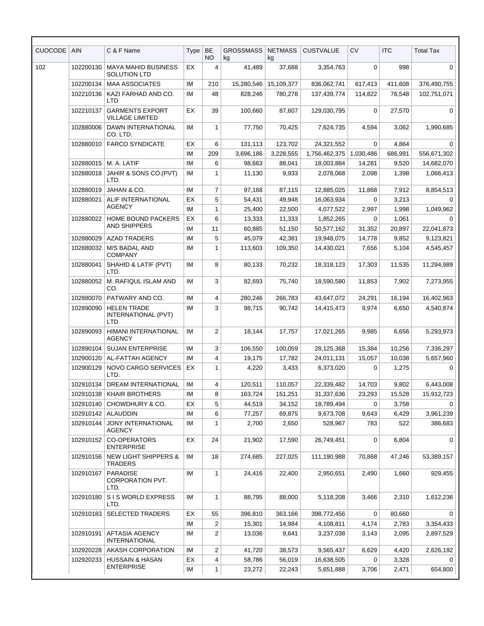| <b>CUOCODE</b> | <b>AIN</b>                             | C & F Name                                              | Type | BE<br>NO.      | <b>GROSSMASS</b><br>kg | <b>NETMASS</b><br>kg | <b>CUSTVALUE</b> | <b>CV</b> | <b>ITC</b> | <b>Total Tax</b> |
|----------------|----------------------------------------|---------------------------------------------------------|------|----------------|------------------------|----------------------|------------------|-----------|------------|------------------|
| 102            | 102200130                              | <b>MAYA MAHID BUSINESS</b><br><b>SOLUTION LTD</b>       | ЕX   | 4              | 41,489                 | 37,688               | 3,354,763        | 0         | 998        | 0                |
|                | 102200134                              | <b>MAA ASSOCIATES</b>                                   | IM   | 210            | 15,280,546             | 15,109,377           | 836.062.741      | 617,413   | 411,608    | 376,490,755      |
|                | 102210136                              | KAZI FARHAD AND CO.<br><b>LTD</b>                       | IM   | 48             | 828,246                | 780,278              | 137,439,774      | 114,822   | 76,548     | 102,751,071      |
|                | 102210137                              | <b>GARMENTS EXPORT</b><br><b>VILLAGE LIMITED</b>        | EX   | 39             | 100,660                | 87,607               | 129,030,795      | 0         | 27,570     | $\Omega$         |
|                | 102880006                              | <b>DAWN INTERNATIONAL</b><br>CO. LTD.                   | ΙM   | 1              | 77,750                 | 70,425               | 7,624,735        | 4,594     | 3,062      | 1,990,685        |
|                | 102880010                              | <b>FARCO SYNDICATE</b>                                  | ЕX   | 6              | 131,113                | 123,702              | 24,321,552       | 0         | 4,864      | 0                |
|                |                                        |                                                         | IM   | 209            | 3,696,186              | 3,228,555            | 1,756,462,375    | 1,030,486 | 686,991    | 556,671,302      |
|                | 102880015                              | M. A. LATIF                                             | IM   | 6              | 98,663                 | 88,041               | 18,003,884       | 14,281    | 9,520      | 14,682,070       |
|                | 102880018                              | JAHIR & SONS CO.(PVT)<br>LTD.                           | IM   | 1              | 11,130                 | 9,933                | 2,078,068        | 2,098     | 1,398      | 1,066,413        |
|                | 102880019                              | JAHAN & CO.                                             | IM   | 7              | 97,168                 | 87,115               | 12,885,025       | 11,868    | 7,912      | 8,854,513        |
|                | 102880021                              | ALIF INTERNATIONAL                                      | EX   | 5              | 54,431                 | 49,948               | 16,063,934       | $\Omega$  | 3,213      | $\Omega$         |
|                |                                        | <b>AGENCY</b>                                           | IM   | 1              | 25,400                 | 22,500               | 4,077,522        | 2,997     | 1,998      | 1,049,962        |
|                | 102880022<br><b>HOME BOUND PACKERS</b> | EX                                                      | 6    | 13,333         | 11,333                 | 1,852,265            | 0                | 1,061     | $\Omega$   |                  |
|                |                                        | AND SHIPPERS                                            | IM   | 11             | 60.885                 | 51,150               | 50,577,162       | 31,352    | 20,897     | 22,041,873       |
|                | 102880029                              | <b>AZAD TRADERS</b>                                     | IM   | 5              | 45,079                 | 42,381               | 19,948,075       | 14,778    | 9,852      | 9,123,821        |
|                | 102880032                              | <b>M/S BADAL AND</b><br><b>COMPANY</b>                  | IM   | 1              | 113,603                | 109,350              | 14,430,021       | 7,656     | 5,104      | 4,545,457        |
|                | 102880041                              | SHAHID & LATIF (PVT)<br>LTD.                            | IM   | 8              | 80,133                 | 70,232               | 18,318,123       | 17,303    | 11,535     | 11,294,989       |
|                | 102880052                              | M. RAFIQUL ISLAM AND<br>CO.                             | IM   | 3              | 82,693                 | 75,740               | 18,590,580       | 11,853    | 7,902      | 7,273,955        |
|                | 102880070                              | PATWARY AND CO.                                         | IM   | 4              | 280,246                | 266,783              | 43,647,072       | 24,291    | 16,194     | 16,402,963       |
|                | 102890090                              | <b>HELEN TRADE</b><br>INTERNATIONAL (PVT)<br><b>LTD</b> | IM   | 3              | 98,715                 | 90,742               | 14,415,473       | 9,974     | 6,650      | 4,540,874        |
|                | 102890093                              | HIMANI INTERNATIONAL<br><b>AGENCY</b>                   | IM   | 2              | 18,144                 | 17,757               | 17,021,265       | 9,985     | 6,656      | 5,293,973        |
|                | 102890104                              | <b>SUJAN ENTERPRISE</b>                                 | ΙM   | 3              | 106,550                | 100,059              | 28,125,368       | 15,384    | 10,256     | 7,336,297        |
|                | 102900120                              | AL-FATTAH AGENCY                                        | IM   | 4              | 19,175                 | 17,782               | 24,011,131       | 15,057    | 10,038     | 5,657,960        |
|                | 102900129                              | NOVO CARGO SERVICES<br>LTD.                             | EX   | $\mathbf{1}$   | 4,220                  | 3,433                | 6,373,020        | 0         | 1,275      | 0                |
|                | 102910134                              | DREAM INTERNATIONAL                                     | ΙM   | 4              | 120,511                | 110,057              | 22,339,482       | 14,703    | 9,802      | 6,443,008        |
|                | 102910138                              | <b>KHAIR BROTHERS</b>                                   | ΙM   | 8              | 163,724                | 151,251              | 31,337,636       | 23,293    | 15,528     | 15,912,723       |
|                | 102910140                              | CHOWDHURY & CO.                                         | EX   | 5              | 44,519                 | 34,152               | 18,789,494       | 0         | 3,758      | 0                |
|                | 102910142                              | ALAUDDIN                                                | IM   | 6              | 77,257                 | 69,875               | 9,673,708        | 9,643     | 6,429      | 3,961,239        |
|                | 102910144                              | JONY INTERNATIONAL<br><b>AGENCY</b>                     | ΙM   | 1              | 2,700                  | 2,650                | 528,967          | 783       | 522        | 386,683          |
|                | 102910152                              | CO-OPERATORS<br><b>ENTERPRISE</b>                       | EX   | 24             | 21,902                 | 17,590               | 26,749,451       | 0         | 6,804      | 0                |
|                | 102910156                              | <b>NEW LIGHT SHIPPERS &amp;</b><br>TRADERS              | ΙM   | 18             | 274,685                | 227,025              | 111,190,988      | 70,868    | 47,246     | 53,389,157       |
|                | 102910167                              | <b>PARADISE</b><br>CORPORATION PVT.<br>LTD.             | IM   | 1              | 24,416                 | 22,400               | 2,950,651        | 2,490     | 1,660      | 929,455          |
|                | 102910180                              | S I S WORLD EXPRESS<br>LTD.                             | ΙM   | 1              | 88,795                 | 88,000               | 5,118,208        | 3,466     | 2,310      | 1,612,236        |
|                | 102910183                              | <b>SELECTED TRADERS</b>                                 | EX   | 55             | 396,810                | 363,166              | 398,772,456      | 0         | 80,660     | 0                |
|                |                                        |                                                         | ΙM   | $\overline{c}$ | 15,301                 | 14,984               | 4,108,811        | 4,174     | 2,783      | 3,354,433        |
|                | 102910191                              | AFTASIA AGENCY<br><b>INTERNATIONAL</b>                  | ΙM   | 2              | 13,036                 | 9,641                | 3,237,038        | 3,143     | 2,095      | 2,897,529        |
|                | 102920228                              | AKASH CORPORATION                                       | IM   | 2              | 41,720                 | 38,573               | 9,565,437        | 6,629     | 4,420      | 2,626,192        |
|                | 102920233                              | <b>HUSSAIN &amp; HASAN</b>                              | EX   | 4              | 58,786                 | 56,019               | 16,638,505       | 0         | 3,328      | $\Omega$         |
|                |                                        | <b>ENTERPRISE</b>                                       | IM   | 1              | 23,272                 | 22,243               | 5,651,888        | 3,706     | 2,471      | 654,800          |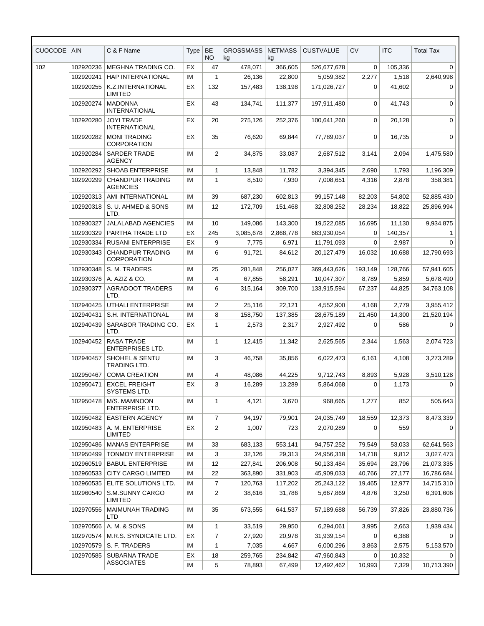| <b>CUOCODE</b> | <b>AIN</b> | C & F Name                                    | Type | BE<br><b>NO</b> | <b>GROSSMASS</b><br>kg | <b>NETMASS</b><br>kg | <b>CUSTVALUE</b> | <b>CV</b>   | <b>ITC</b> | <b>Total Tax</b> |
|----------------|------------|-----------------------------------------------|------|-----------------|------------------------|----------------------|------------------|-------------|------------|------------------|
| 102            | 102920236  | MEGHNA TRADING CO.                            | EX   | 47              | 478,071                | 366,605              | 526,677,678      | 0           | 105,336    | 0                |
|                | 102920241  | <b>HAP INTERNATIONAL</b>                      | IM   | 1               | 26,136                 | 22,800               | 5,059,382        | 2,277       | 1,518      | 2,640,998        |
|                | 102920255  | <b>K.Z.INTERNATIONAL</b><br><b>LIMITED</b>    | ЕX   | 132             | 157,483                | 138,198              | 171,026,727      | 0           | 41,602     | 0                |
|                | 102920274  | <b>MADONNA</b><br><b>INTERNATIONAL</b>        | ЕX   | 43              | 134,741                | 111,377              | 197,911,480      | 0           | 41,743     | $\mathbf 0$      |
|                | 102920280  | <b>JOYI TRADE</b><br><b>INTERNATIONAL</b>     | ЕX   | 20              | 275,126                | 252,376              | 100,641,260      | $\mathbf 0$ | 20,128     | $\mathbf 0$      |
|                | 102920282  | <b>MONI TRADING</b><br><b>CORPORATION</b>     | EX   | 35              | 76,620                 | 69,844               | 77,789,037       | 0           | 16.735     | $\mathbf 0$      |
|                | 102920284  | <b>SARDER TRADE</b><br><b>AGENCY</b>          | ΙM   | 2               | 34,875                 | 33,087               | 2,687,512        | 3,141       | 2,094      | 1,475,580        |
|                | 102920292  | <b>SHOAB ENTERPRISE</b>                       | ΙM   | $\mathbf{1}$    | 13,848                 | 11,782               | 3,394,345        | 2,690       | 1,793      | 1,196,309        |
|                | 102920299  | <b>CHANDPUR TRADING</b><br><b>AGENCIES</b>    | ΙM   | 1               | 8,510                  | 7,930                | 7,008,651        | 4,316       | 2,878      | 358,381          |
|                | 102920313  | AMI INTERNATIONAL                             | IM   | 39              | 687,230                | 602,813              | 99,157,148       | 82,203      | 54,802     | 52,885,430       |
|                | 102920318  | S. U. AHMED & SONS<br>LTD.                    | IM   | 12              | 172,709                | 151,468              | 32,808,252       | 28,234      | 18,822     | 25,896,994       |
|                | 102930327  | <b>JALALABAD AGENCIES</b>                     | ΙM   | 10              | 149,086                | 143,300              | 19,522,085       | 16,695      | 11,130     | 9,934,875        |
|                | 102930329  | PARTHA TRADE LTD                              | EX   | 245             | 3,085,678              | 2,868,778            | 663,930,054      | 0           | 140,357    | 1                |
|                | 102930334  | <b>RUSANI ENTERPRISE</b>                      | EX   | 9               | 7,775                  | 6,971                | 11,791,093       | 0           | 2,987      | 0                |
|                | 102930343  | <b>CHANDPUR TRADING</b><br><b>CORPORATION</b> | IM   | 6               | 91,721                 | 84,612               | 20,127,479       | 16,032      | 10,688     | 12,790,693       |
|                | 102930348  | S. M. TRADERS                                 | IM   | 25              | 281,848                | 256,027              | 369,443,626      | 193,149     | 128,766    | 57,941,605       |
|                | 102930376  | A. AZIZ & CO.                                 | IM   | 4               | 67,855                 | 58,291               | 10,047,307       | 8,789       | 5,859      | 5,678,490        |
|                | 102930377  | <b>AGRADOOT TRADERS</b><br>LTD.               | ΙM   | 6               | 315,164                | 309,700              | 133,915,594      | 67,237      | 44,825     | 34,763,108       |
|                | 102940425  | <b>UTHALI ENTERPRISE</b>                      | IM   | 2               | 25,116                 | 22,121               | 4,552,900        | 4,168       | 2,779      | 3,955,412        |
|                | 102940431  | S.H. INTERNATIONAL                            | IM   | 8               | 158,750                | 137,385              | 28,675,189       | 21,450      | 14,300     | 21,520,194       |
|                | 102940439  | SARABOR TRADING CO.<br>LTD.                   | EX   | 1               | 2,573                  | 2,317                | 2,927,492        | 0           | 586        | $\Omega$         |
|                | 102940452  | <b>RASA TRADE</b><br><b>ENTERPRISES LTD.</b>  | IM   | 1               | 12,415                 | 11,342               | 2,625,565        | 2,344       | 1,563      | 2,074,723        |
|                | 102940457  | SHOHEL & SENTU<br><b>TRADING LTD.</b>         | ΙM   | 3               | 46,758                 | 35,856               | 6,022,473        | 6,161       | 4,108      | 3,273,289        |
|                | 102950467  | <b>COMA CREATION</b>                          | ΙM   | 4               | 48,086                 | 44,225               | 9,712,743        | 8,893       | 5,928      | 3,510,128        |
|                | 102950471  | <b>EXCEL FREIGHT</b><br>SYSTEMS LTD.          | ЕX   | 3               | 16,289                 | 13,289               | 5,864,068        | 0           | 1,173      | 0                |
|                | 102950478  | M/S. MAMNOON<br><b>ENTERPRISE LTD.</b>        | ΙM   | 1               | 4,121                  | 3,670                | 968,665          | 1,277       | 852        | 505,643          |
|                | 102950482  | <b>EASTERN AGENCY</b>                         | ΙM   | $\overline{7}$  | 94,197                 | 79,901               | 24,035,749       | 18,559      | 12,373     | 8,473,339        |
|                | 102950483  | A. M. ENTERPRISE<br>LIMITED                   | EX   | 2               | 1,007                  | 723                  | 2,070,289        | 0           | 559        | $\Omega$         |
|                | 102950486  | <b>MANAS ENTERPRISE</b>                       | ΙM   | 33              | 683,133                | 553,141              | 94,757,252       | 79,549      | 53,033     | 62,641,563       |
|                | 102950499  | <b>TONMOY ENTERPRISE</b>                      | ΙM   | 3               | 32,126                 | 29,313               | 24,956,318       | 14,718      | 9,812      | 3,027,473        |
|                | 102960519  | <b>BABUL ENTERPRISE</b>                       | ΙM   | 12              | 227,841                | 206,908              | 50,133,484       | 35,694      | 23,796     | 21,073,335       |
|                | 102960533  | <b>CITY CARGO LIMITED</b>                     | ΙM   | 22              | 363,890                | 331,903              | 45,909,033       | 40,766      | 27,177     | 16,786,684       |
|                | 102960535  | ELITE SOLUTIONS LTD.                          | ΙM   | 7               | 120,763                | 117,202              | 25,243,122       | 19,465      | 12,977     | 14,715,310       |
|                | 102960540  | S.M.SUNNY CARGO<br><b>LIMITED</b>             | ΙM   | 2               | 38,616                 | 31,786               | 5,667,869        | 4,876       | 3,250      | 6,391,606        |
|                | 102970556  | MAIMUNAH TRADING<br><b>LTD</b>                | ΙM   | 35              | 673,555                | 641,537              | 57,189,688       | 56,739      | 37,826     | 23,880,736       |
|                | 102970566  | A. M. & SONS                                  | IM   | $\mathbf{1}$    | 33,519                 | 29,950               | 6,294,061        | 3,995       | 2,663      | 1,939,434        |
|                | 102970574  | M.R.S. SYNDICATE LTD.                         | EX   | $\overline{7}$  | 27,920                 | 20,978               | 31,939,154       | 0           | 6,388      | $\Omega$         |
|                | 102970579  | S. F. TRADERS                                 | ΙM   | 1               | 7,035                  | 4,667                | 6,000,296        | 3,863       | 2,575      | 5,153,570        |
|                | 102970585  | <b>SUBARNA TRADE</b><br><b>ASSOCIATES</b>     | EX   | 18              | 259,765                | 234,842              | 47,960,843       | 0           | 10,332     | 0                |
|                |            |                                               | IM   | 5               | 78,893                 | 67,499               | 12,492,462       | 10,993      | 7,329      | 10,713,390       |